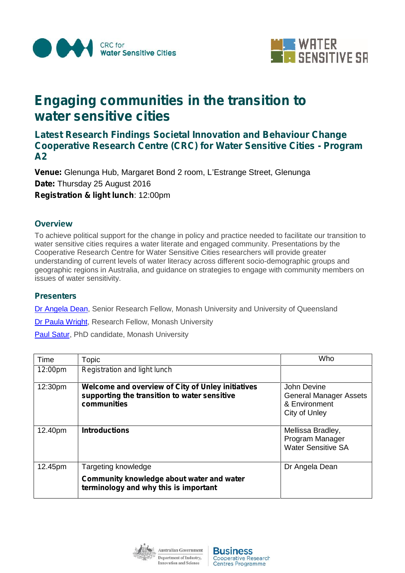



# *Engaging communities in the transition to water sensitive cities*

## *Latest Research Findings Societal Innovation and Behaviour Change Cooperative Research Centre (CRC) for Water Sensitive Cities - Program A2*

**Venue:** Glenunga Hub, Margaret Bond 2 room, L'Estrange Street, Glenunga **Date:** Thursday 25 August 2016 **Registration & light lunch**: 12:00pm

### **Overview**

To achieve political support for the change in policy and practice needed to facilitate our transition to water sensitive cities requires a water literate and engaged community. Presentations by the Cooperative Research Centre for Water Sensitive Cities researchers will provide greater understanding of current levels of water literacy across different socio-demographic groups and geographic regions in Australia, and guidance on strategies to engage with community members on issues of water sensitivity.

#### **Presenters**

Dr Angela Dean, Senior Research Fellow, Monash University and University of Queensland

Dr Paula Wright, Research Fellow, Monash University

Paul Satur, PhD candidate, Monash University

| Time    | Topic                                                                                                            | Who                                                                            |
|---------|------------------------------------------------------------------------------------------------------------------|--------------------------------------------------------------------------------|
| 12:00pm | Registration and light lunch                                                                                     |                                                                                |
| 12:30pm | Welcome and overview of City of Unley initiatives<br>supporting the transition to water sensitive<br>communities | John Devine<br><b>General Manager Assets</b><br>& Environment<br>City of Unley |
| 12.40pm | <b>Introductions</b>                                                                                             | Mellissa Bradley,<br>Program Manager<br><b>Water Sensitive SA</b>              |
| 12.45pm | Targeting knowledge                                                                                              | Dr Angela Dean                                                                 |
|         | Community knowledge about water and water<br>terminology and why this is important                               |                                                                                |